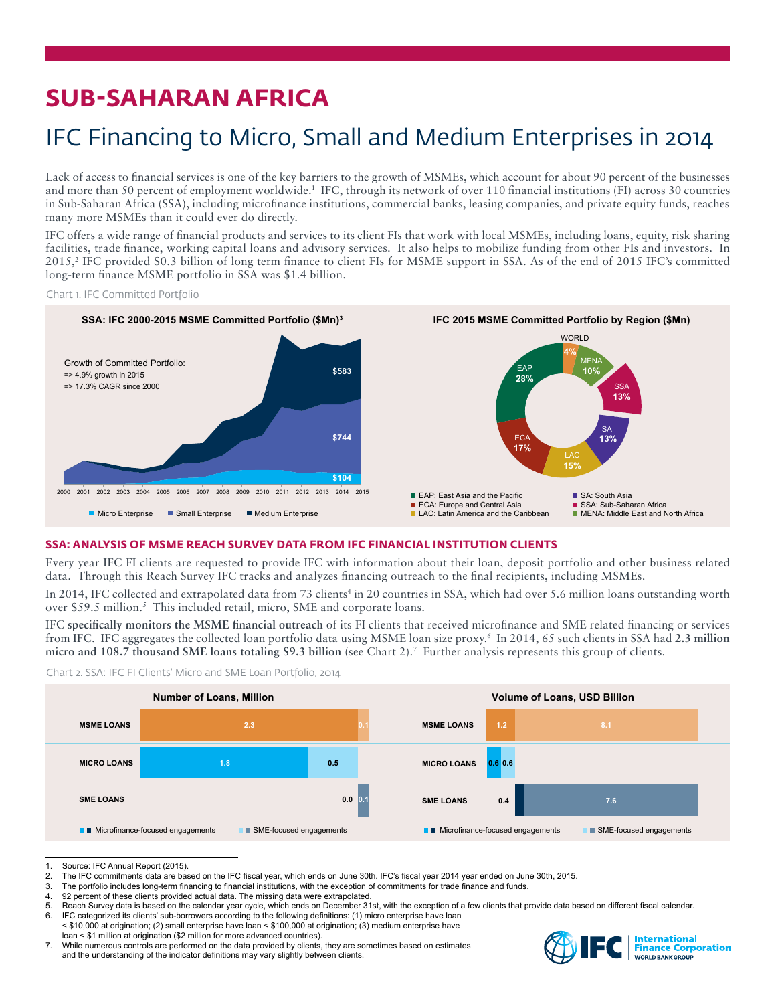# **SUB-SAHARAN AFRICA**

## IFC Financing to Micro, Small and Medium Enterprises in 2014

Lack of access to financial services is one of the key barriers to the growth of MSMEs, which account for about 90 percent of the businesses and more than 50 percent of employment worldwide.<sup>1</sup> IFC, through its network of over 110 financial institutions (FI) across 30 countries in Sub-Saharan Africa (SSA), including microfinance institutions, commercial banks, leasing companies, and private equity funds, reaches many more MSMEs than it could ever do directly.

IFC offers a wide range of financial products and services to its client FIs that work with local MSMEs, including loans, equity, risk sharing facilities, trade finance, working capital loans and advisory services. It also helps to mobilize funding from other FIs and investors. In 2015,<sup>2</sup> IFC provided \$0.3 billion of long term finance to client FIs for MSME support in SSA. As of the end of 2015 IFC's committed long-term finance MSME portfolio in SSA was \$1.4 billion.

Chart 1. IFC Committed Portfolio



## **SSA: ANALYSIS OF MSME REACH SURVEY DATA FROM IFC FINANCIAL INSTITUTION CLIENTS**

Every year IFC FI clients are requested to provide IFC with information about their loan, deposit portfolio and other business related data. Through this Reach Survey IFC tracks and analyzes financing outreach to the final recipients, including MSMEs.

In 2014, IFC collected and extrapolated data from 73 clients<sup>4</sup> in 20 countries in SSA, which had over 5.6 million loans outstanding worth over \$59.5 million.<sup>5</sup> This included retail, micro, SME and corporate loans.

IFC **specifically monitors the MSME financial outreach** of its FI clients that received microfinance and SME related financing or services from IFC. IFC aggregates the collected loan portfolio data using MSME loan size proxy.6 In 2014, 65 such clients in SSA had **2.3 million micro and 108.7 thousand SME loans totaling \$9.3 billion** (see Chart 2).7 Further analysis represents this group of clients.



Chart 2. SSA: IFC FI Clients' Micro and SME Loan Portfolio, 2014

3. The portfolio includes long-term financing to financial institutions, with the exception of commitments for trade finance and funds.<br>4. 92 percent of these clients provided actual data. The missing data were extrapolate

92 percent of these clients provided actual data. The missing data were extrapolated.

- 5. Reach Survey data is based on the calendar year cycle, which ends on December 31st, with the exception of a few clients that provide data based on different fiscal calendar.<br>6. IEC categorized its clients' sub-borrowers
- IFC categorized its clients' sub-borrowers according to the following definitions: (1) micro enterprise have loan < \$10,000 at origination; (2) small enterprise have loan < \$100,000 at origination; (3) medium enterprise have loan < \$1 million at origination (\$2 million for more advanced countries).
- 7. While numerous controls are performed on the data provided by clients, they are sometimes based on estimates and the understanding of the indicator definitions may vary slightly between clients.



<sup>1.</sup> Source: IFC Annual Report (2015).<br>2. The IFC commitments data are base

The IFC commitments data are based on the IFC fiscal year, which ends on June 30th. IFC's fiscal year 2014 year ended on June 30th, 2015.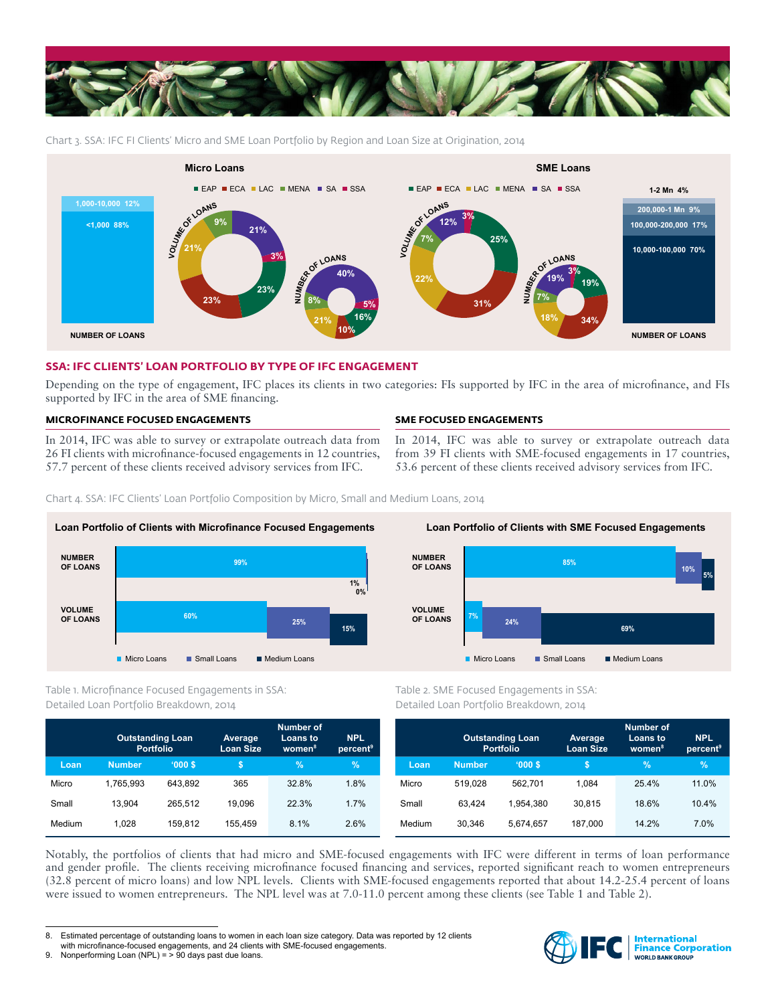

Chart 3. SSA: IFC FI Clients' Micro and SME Loan Portfolio by Region and Loan Size at Origination, 2014



## **SSA: IFC CLIENTS' LOAN PORTFOLIO BY TYPE OF IFC ENGAGEMENT**

Depending on the type of engagement, IFC places its clients in two categories: FIs supported by IFC in the area of microfinance, and FIs supported by IFC in the area of SME financing.

## **MICROFINANCE FOCUSED ENGAGEMENTS**

In 2014, IFC was able to survey or extrapolate outreach data from 26 FI clients with microfinance-focused engagements in 12 countries, 57.7 percent of these clients received advisory services from IFC.

## **SME FOCUSED ENGAGEMENTS**

In 2014, IFC was able to survey or extrapolate outreach data from 39 FI clients with SME-focused engagements in 17 countries, 53.6 percent of these clients received advisory services from IFC.

Chart 4. SSA: IFC Clients' Loan Portfolio Composition by Micro, Small and Medium Loans, 2014



## Table 1. Microfinance Focused Engagements in SSA: Detailed Loan Portfolio Breakdown, 2014

|        | <b>Outstanding Loan</b><br><b>Portfolio</b> |         | Average<br><b>Loan Size</b> | <b>Number of</b><br>Loans to<br>women <sup>8</sup> | <b>NPL</b><br>percent <sup>9</sup> |
|--------|---------------------------------------------|---------|-----------------------------|----------------------------------------------------|------------------------------------|
| Loan   | <b>Number</b>                               | '000S   | \$                          | $\%$                                               | $\%$                               |
| Micro  | 1.765.993                                   | 643.892 | 365                         | 32.8%                                              | 1.8%                               |
| Small  | 13.904                                      | 265.512 | 19.096                      | 22.3%                                              | 1.7%                               |
| Medium | 1.028                                       | 159.812 | 155.459                     | 8.1%                                               | 2.6%                               |



Table 2. SME Focused Engagements in SSA: Detailed Loan Portfolio Breakdown, 2014

|        | <b>Outstanding Loan</b><br><b>Portfolio</b> |           | Average<br><b>Loan Size</b> | <b>Number of</b><br>Loans to<br>women <sup>8</sup> | <b>NPL</b><br>percent <sup>9</sup> |
|--------|---------------------------------------------|-----------|-----------------------------|----------------------------------------------------|------------------------------------|
| Loan   | <b>Number</b>                               | '000S     | S                           | $\%$                                               | $\%$                               |
| Micro  | 519.028                                     | 562.701   | 1.084                       | 25.4%                                              | 11.0%                              |
| Small  | 63.424                                      | 1.954.380 | 30.815                      | 18.6%                                              | 10.4%                              |
| Medium | 30.346                                      | 5.674.657 | 187.000                     | 14.2%                                              | 7.0%                               |

Notably, the portfolios of clients that had micro and SME-focused engagements with IFC were different in terms of loan performance and gender profile. The clients receiving microfinance focused financing and services, reported significant reach to women entrepreneurs (32.8 percent of micro loans) and low NPL levels. Clients with SME-focused engagements reported that about 14.2-25.4 percent of loans were issued to women entrepreneurs. The NPL level was at 7.0-11.0 percent among these clients (see Table 1 and Table 2).



<sup>8.</sup> Estimated percentage of outstanding loans to women in each loan size category. Data was reported by 12 clients

with microfinance-focused engagements, and 24 clients with SME-focused engagements.

<sup>9.</sup> Nonperforming Loan (NPL) = > 90 days past due loans.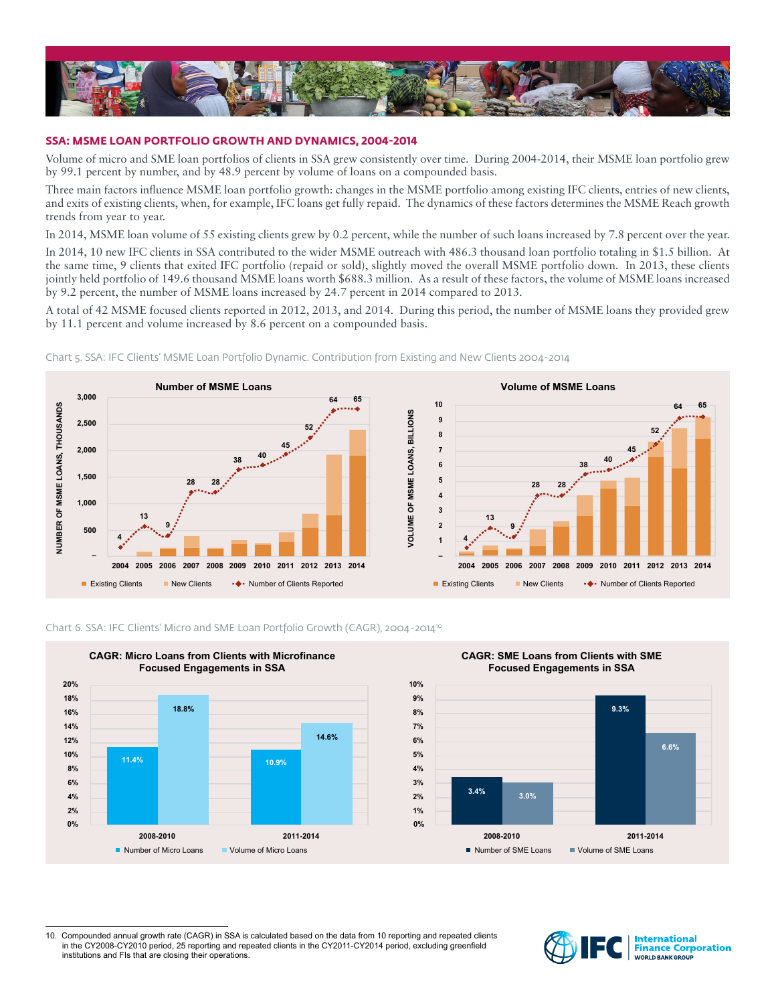

#### **SSA: MSME LOAN PORTFOLIO GROWTH AND DYNAMICS, 2004-2014**

Volume of micro and SME loan portfolios of clients in SSA grew consistently over time. During 2004-2014, their MSME loan portfolio grew by 99.1 percent by number, and by 48.9 percent by volume of loans on a compounded basis.

Three main factors influence MSME loan portfolio growth: changes in the MSME portfolio among existing IFC clients, entries of new clients, and exits of existing clients, when, for example, IFC loans get fully repaid. The dynamics of these factors determines the MSME Reach growth trends from year to year.

In 2014, MSME loan volume of 55 existing clients grew by 0.2 percent, while the number of such loans increased by 7.8 percent over the year.

In 2014, 10 new IFC clients in SSA contributed to the wider MSME outreach with 486.3 thousand loan portfolio totaling in \$1.5 billion. At the same time, 9 clients that exited IFC portfolio (repaid or sold), slightly moved the overall MSME portfolio down. In 2013, these clients jointly held portfolio of 149.6 thousand MSME loans worth \$688.3 million. As a result of these factors, the volume of MSME loans increased by 9.2 percent, the number of MSME loans increased by 24.7 percent in 2014 compared to 2013.

A total of 42 MSME focused clients reported in 2012, 2013, and 2014. During this period, the number of MSME loans they provided grew by 11.1 percent and volume increased by 8.6 percent on a compounded basis.



Chart 5. SSA: IFC Clients' MSME Loan Portfolio Dynamic. Contribution from Existing and New Clients 2004-2014



#### Chart 6. SSA: IFC Clients' Micro and SME Loan Portfolio Growth (CAGR), 2004-2014<sup>10</sup>



10. Compounded annual growth rate (CAGR) in SSA is calculated based on the data from 10 reporting and repeated clients in the CY2008-CY2010 period, 25 reporting and repeated clients in the CY2011-CY2014 period, excluding greenfield